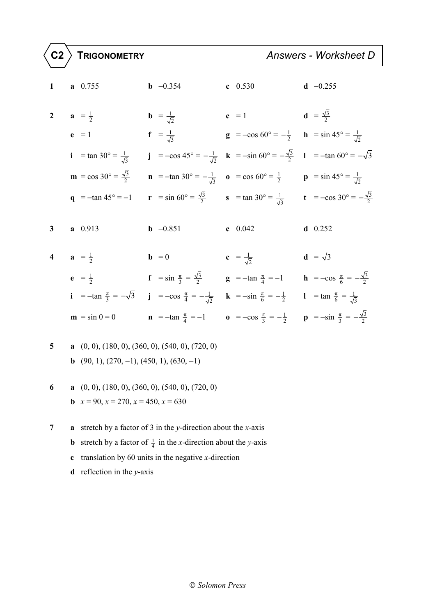| $1 \quad \blacksquare$  | $a \quad 0.755$                                                       | <b>b</b> $-0.354$                                                                                                                                                                                            | c $0.530$                                                                                                                                         | $d -0.255$     |
|-------------------------|-----------------------------------------------------------------------|--------------------------------------------------------------------------------------------------------------------------------------------------------------------------------------------------------------|---------------------------------------------------------------------------------------------------------------------------------------------------|----------------|
| $\mathbf{2}$            | $a = \frac{1}{2}$                                                     | <b>b</b> = $\frac{1}{\sqrt{2}}$                                                                                                                                                                              | <b>c</b> = 1 <b>d</b> = $\frac{\sqrt{3}}{2}$                                                                                                      |                |
|                         | $e = 1$                                                               | $f = \frac{1}{\sqrt{3}}$                                                                                                                                                                                     | <b>g</b> = $-\cos 60^\circ = -\frac{1}{2}$ <b>h</b> = $\sin 45^\circ = \frac{1}{\sqrt{2}}$                                                        |                |
|                         | <b>i</b> = tan 30° = $\frac{1}{\sqrt{3}}$                             |                                                                                                                                                                                                              | <b>j</b> = $-\cos 45^\circ = -\frac{1}{\sqrt{2}}$ <b>k</b> = $-\sin 60^\circ = -\frac{\sqrt{3}}{2}$ <b>l</b> = $-\tan 60^\circ = -\sqrt{3}$       |                |
|                         |                                                                       | <b>m</b> = cos 30° = $\frac{\sqrt{3}}{2}$ <b>n</b> = -tan 30° = $-\frac{1}{\sqrt{3}}$ <b>o</b> = cos 60° = $\frac{1}{2}$ <b>p</b> = sin 45° = $\frac{1}{\sqrt{2}}$                                           |                                                                                                                                                   |                |
|                         | $q = -\tan 45^{\circ} = -1$                                           |                                                                                                                                                                                                              | <b>r</b> = $\sin 60^\circ = \frac{\sqrt{3}}{2}$ <b>s</b> = $\tan 30^\circ = \frac{1}{\sqrt{3}}$ <b>t</b> = $-\cos 30^\circ = -\frac{\sqrt{3}}{2}$ |                |
| $\mathbf{3}$            | $a \quad 0.913$                                                       | <b>b</b> $-0.851$                                                                                                                                                                                            | c $0.042$                                                                                                                                         | $d$ 0.252      |
| $\overline{\mathbf{4}}$ | $a = \frac{1}{2}$                                                     | $\mathbf{b} = 0$                                                                                                                                                                                             | $c = \frac{1}{\sqrt{2}}$                                                                                                                          | $d = \sqrt{3}$ |
|                         | $e = \frac{1}{2}$                                                     | <b>f</b> = $\sin \frac{\pi}{3} = \frac{\sqrt{3}}{2}$ <b>g</b> = $-\tan \frac{\pi}{4} = -1$ <b>h</b> = $-\cos \frac{\pi}{6} = -\frac{\sqrt{3}}{2}$                                                            |                                                                                                                                                   |                |
|                         |                                                                       | <b>i</b> = -tan $\frac{\pi}{3}$ = $-\sqrt{3}$ <b>j</b> = -cos $\frac{\pi}{4}$ = $-\frac{1}{\sqrt{2}}$ <b>k</b> = -sin $\frac{\pi}{6}$ = $-\frac{1}{2}$ <b>l</b> = tan $\frac{\pi}{6}$ = $\frac{1}{\sqrt{3}}$ |                                                                                                                                                   |                |
|                         | $\mathbf{m} = \sin 0 = 0$                                             |                                                                                                                                                                                                              | <b>n</b> = -tan $\frac{\pi}{4}$ = -1 <b>o</b> = -cos $\frac{\pi}{3}$ = - $\frac{1}{2}$ <b>p</b> = -sin $\frac{\pi}{3}$ = - $\frac{\sqrt{3}}{2}$   |                |
| 5 <sup>5</sup>          | <b>a</b> $(0, 0)$ , $(180, 0)$ , $(360, 0)$ , $(540, 0)$ , $(720, 0)$ |                                                                                                                                                                                                              |                                                                                                                                                   |                |

- **b** (90, 1), (270, −1), (450, 1), (630, −1)
- **6 a** (0, 0), (180, 0), (360, 0), (540, 0), (720, 0) **b**  $x = 90$ ,  $x = 270$ ,  $x = 450$ ,  $x = 630$
- **7 a** stretch by a factor of 3 in the *y*-direction about the *x*-axis
	- **b** stretch by a factor of  $\frac{1}{4}$  in the *x*-direction about the *y*-axis
	- **c** translation by 60 units in the negative *x*-direction
	- **d** reflection in the *y*-axis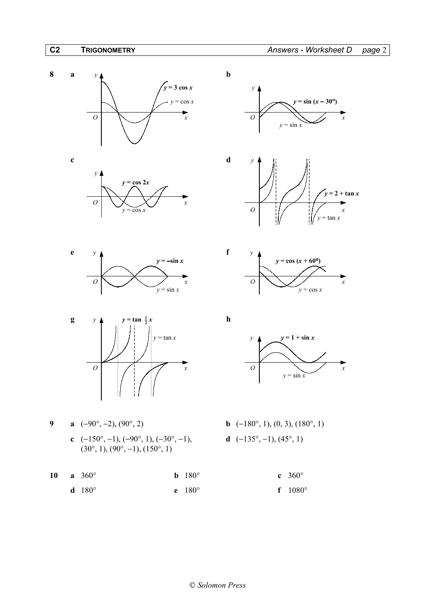







9 **a** 
$$
(-90^{\circ}, -2), (90^{\circ}, 2)
$$
  
**c**  $(-150^{\circ}, -1), (-90^{\circ}, 1), (-30^{\circ}, -1)$   
 $(30^{\circ}, 1), (90^{\circ}, -1), (150^{\circ}, 1)$ 

**10 a** 360° **b** 180° **c** 360° **d** 180° **e** 180° **f** 1080°









- **b**  $(-180^\circ, 1)$ ,  $(0, 3)$ ,  $(180^\circ, 1)$ **d** (−135°, −1), (45°, 1)
	-
	-